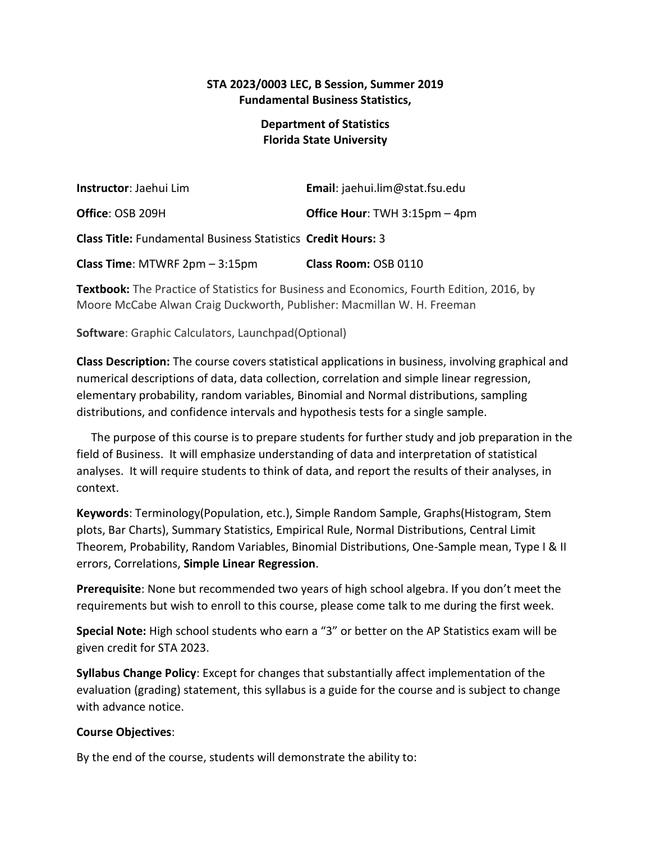# **STA 2023/0003 LEC, B Session, Summer 2019 Fundamental Business Statistics,**

# **Department of Statistics Florida State University**

| <b>Instructor</b> : Jaehui Lim                                      | Email: jaehui.lim@stat.fsu.edu       |
|---------------------------------------------------------------------|--------------------------------------|
| Office: OSB 209H                                                    | <b>Office Hour: TWH 3:15pm - 4pm</b> |
| <b>Class Title: Fundamental Business Statistics Credit Hours: 3</b> |                                      |
| Class Time: MTWRF 2pm - 3:15pm                                      | Class Room: OSB 0110                 |

**Textbook:** The Practice of Statistics for Business and Economics, Fourth Edition, 2016, by Moore McCabe Alwan Craig Duckworth, Publisher: Macmillan W. H. Freeman

**Software**: Graphic Calculators, Launchpad(Optional)

**Class Description:** The course covers statistical applications in business, involving graphical and numerical descriptions of data, data collection, correlation and simple linear regression, elementary probability, random variables, Binomial and Normal distributions, sampling distributions, and confidence intervals and hypothesis tests for a single sample.

 The purpose of this course is to prepare students for further study and job preparation in the field of Business. It will emphasize understanding of data and interpretation of statistical analyses. It will require students to think of data, and report the results of their analyses, in context.

**Keywords**: Terminology(Population, etc.), Simple Random Sample, Graphs(Histogram, Stem plots, Bar Charts), Summary Statistics, Empirical Rule, Normal Distributions, Central Limit Theorem, Probability, Random Variables, Binomial Distributions, One-Sample mean, Type I & II errors, Correlations, **Simple Linear Regression**.

**Prerequisite**: None but recommended two years of high school algebra. If you don't meet the requirements but wish to enroll to this course, please come talk to me during the first week.

**Special Note:** High school students who earn a "3" or better on the AP Statistics exam will be given credit for STA 2023.

**Syllabus Change Policy**: Except for changes that substantially affect implementation of the evaluation (grading) statement, this syllabus is a guide for the course and is subject to change with advance notice.

#### **Course Objectives**:

By the end of the course, students will demonstrate the ability to: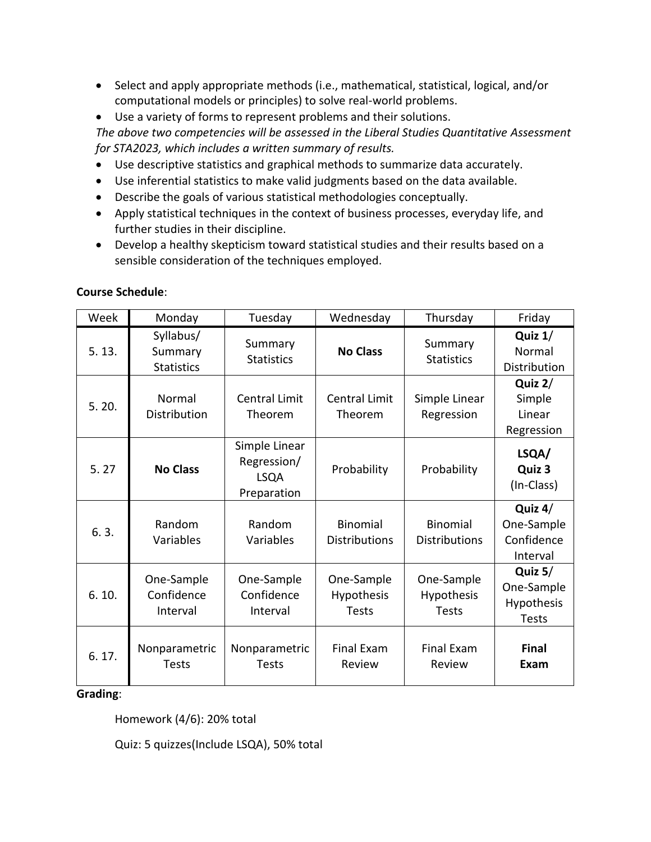- Select and apply appropriate methods (i.e., mathematical, statistical, logical, and/or computational models or principles) to solve real-world problems.
- Use a variety of forms to represent problems and their solutions.

*The above two competencies will be assessed in the Liberal Studies Quantitative Assessment for STA2023, which includes a written summary of results.*

- Use descriptive statistics and graphical methods to summarize data accurately.
- Use inferential statistics to make valid judgments based on the data available.
- Describe the goals of various statistical methodologies conceptually.
- Apply statistical techniques in the context of business processes, everyday life, and further studies in their discipline.
- Develop a healthy skepticism toward statistical studies and their results based on a sensible consideration of the techniques employed.

| Week  | Monday                                    | Tuesday                                                    | Wednesday                                | Thursday                                 | Friday                                                |
|-------|-------------------------------------------|------------------------------------------------------------|------------------------------------------|------------------------------------------|-------------------------------------------------------|
| 5.13. | Syllabus/<br>Summary<br><b>Statistics</b> | Summary<br><b>Statistics</b>                               | <b>No Class</b>                          | Summary<br><b>Statistics</b>             | Quiz $1/$<br>Normal<br>Distribution                   |
| 5.20. | Normal<br>Distribution                    | Central Limit<br>Theorem                                   | Central Limit<br>Theorem                 | Simple Linear<br>Regression              | Quiz 2/<br>Simple<br>Linear<br>Regression             |
| 5.27  | <b>No Class</b>                           | Simple Linear<br>Regression/<br><b>LSQA</b><br>Preparation | Probability                              | Probability                              | LSQA/<br>Quiz 3<br>(In-Class)                         |
| 6.3.  | Random<br>Variables                       | Random<br>Variables                                        | <b>Binomial</b><br><b>Distributions</b>  | <b>Binomial</b><br><b>Distributions</b>  | Quiz $4/$<br>One-Sample<br>Confidence<br>Interval     |
| 6.10. | One-Sample<br>Confidence<br>Interval      | One-Sample<br>Confidence<br>Interval                       | One-Sample<br>Hypothesis<br><b>Tests</b> | One-Sample<br>Hypothesis<br><b>Tests</b> | Quiz $5/$<br>One-Sample<br>Hypothesis<br><b>Tests</b> |
| 6.17. | Nonparametric<br><b>Tests</b>             | Nonparametric<br><b>Tests</b>                              | <b>Final Exam</b><br>Review              | <b>Final Exam</b><br>Review              | <b>Final</b><br>Exam                                  |

## **Course Schedule**:

#### **Grading**:

Homework (4/6): 20% total

Quiz: 5 quizzes(Include LSQA), 50% total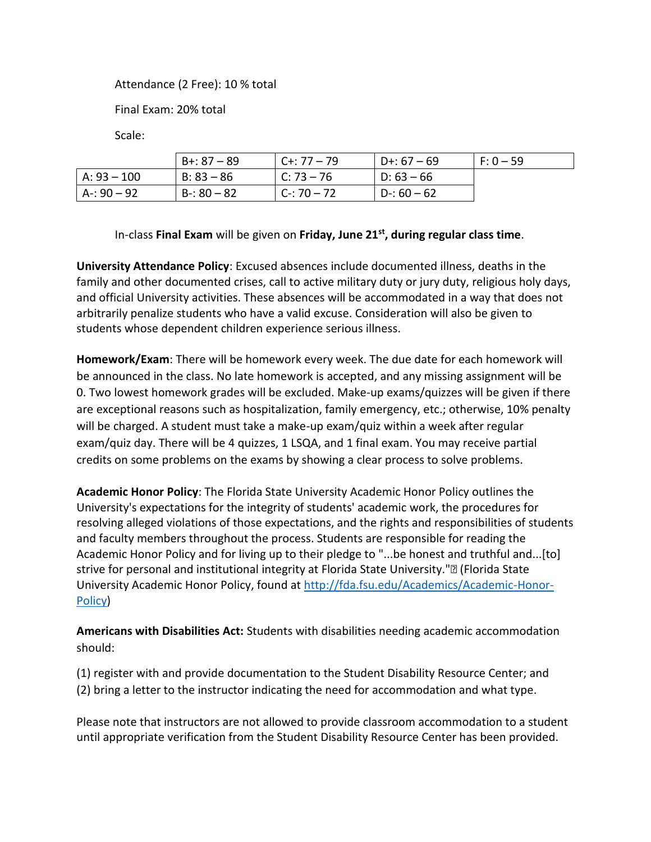#### Attendance (2 Free): 10 % total

Final Exam: 20% total

Scale:

|               | $B + 87 - 89$ | $C + 77 - 79$ | $D + : 67 - 69$ | $F: 0 - 59$ |
|---------------|---------------|---------------|-----------------|-------------|
| $A: 93 - 100$ | $B: 83 - 86$  | C: 73 – 76    | $D: 63 - 66$    |             |
| $A: 90 - 92$  | $B - 80 - 82$ | $C - 70 - 72$ | $D-: 60-62$     |             |

# In-class **Final Exam** will be given on **Friday, June 21st , during regular class time**.

**University Attendance Policy**: Excused absences include documented illness, deaths in the family and other documented crises, call to active military duty or jury duty, religious holy days, and official University activities. These absences will be accommodated in a way that does not arbitrarily penalize students who have a valid excuse. Consideration will also be given to students whose dependent children experience serious illness.

**Homework/Exam**: There will be homework every week. The due date for each homework will be announced in the class. No late homework is accepted, and any missing assignment will be 0. Two lowest homework grades will be excluded. Make-up exams/quizzes will be given if there are exceptional reasons such as hospitalization, family emergency, etc.; otherwise, 10% penalty will be charged. A student must take a make-up exam/quiz within a week after regular exam/quiz day. There will be 4 quizzes, 1 LSQA, and 1 final exam. You may receive partial credits on some problems on the exams by showing a clear process to solve problems.

**Academic Honor Policy**: The Florida State University Academic Honor Policy outlines the University's expectations for the integrity of students' academic work, the procedures for resolving alleged violations of those expectations, and the rights and responsibilities of students and faculty members throughout the process. Students are responsible for reading the Academic Honor Policy and for living up to their pledge to "...be honest and truthful and...[to] strive for personal and institutional integrity at Florida State University."• (Florida State University Academic Honor Policy, found at [http://fda.fsu.edu/Academics/Academic-Honor-](http://fda.fsu.edu/Academics/Academic-Honor-Policy)[Policy\)](http://fda.fsu.edu/Academics/Academic-Honor-Policy)

**Americans with Disabilities Act:** Students with disabilities needing academic accommodation should:

(1) register with and provide documentation to the Student Disability Resource Center; and (2) bring a letter to the instructor indicating the need for accommodation and what type.

Please note that instructors are not allowed to provide classroom accommodation to a student until appropriate verification from the Student Disability Resource Center has been provided.